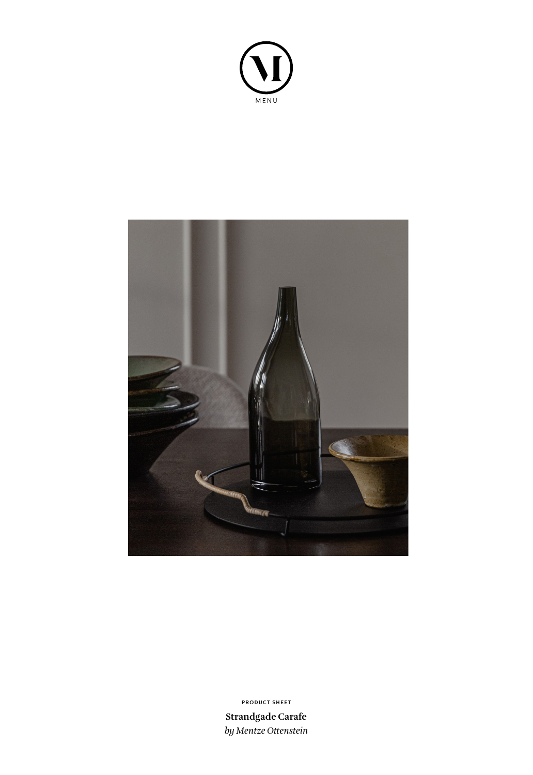



**Strandgade Carafe** *by Mentze Ottenstein* **PRODUCT SHEET**